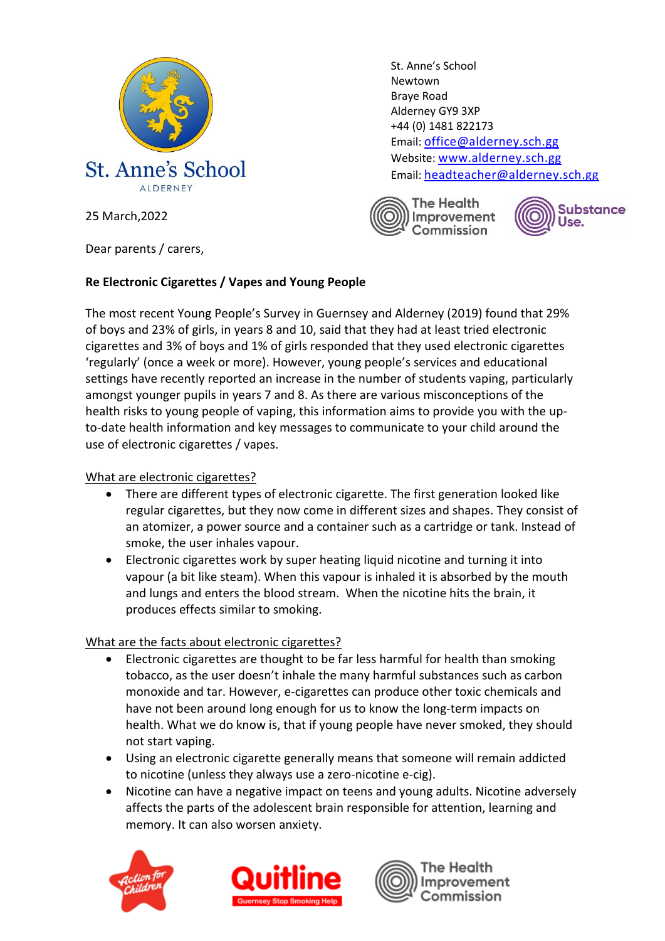

St. Anne's School Newtown Braye Road Alderney GY9 3XP +44 (0) 1481 822173 Email: [office@alderney.sch.gg](mailto:office@alderney.sch.gg) Website: [www.alderney.sch.gg](http://www.alderney.sch.gg/) Email: [headteacher@alderney.sch.gg](mailto:headteacher@alderney.sch.gg)





25 March,2022

Dear parents / carers,

#### **Re Electronic Cigarettes / Vapes and Young People**

The most recent Young People's Survey in Guernsey and Alderney (2019) found that 29% of boys and 23% of girls, in years 8 and 10, said that they had at least tried electronic cigarettes and 3% of boys and 1% of girls responded that they used electronic cigarettes 'regularly' (once a week or more). However, young people's services and educational settings have recently reported an increase in the number of students vaping, particularly amongst younger pupils in years 7 and 8. As there are various misconceptions of the health risks to young people of vaping, this information aims to provide you with the upto-date health information and key messages to communicate to your child around the use of electronic cigarettes / vapes.

#### What are electronic cigarettes?

- There are different types of electronic cigarette. The first generation looked like regular cigarettes, but they now come in different sizes and shapes. They consist of an atomizer, a power source and a container such as a cartridge or tank. Instead of smoke, the user inhales vapour.
- Electronic cigarettes work by super heating liquid nicotine and turning it into vapour (a bit like steam). When this vapour is inhaled it is absorbed by the mouth and lungs and enters the blood stream. When the nicotine hits the brain, it produces effects similar to smoking.

## What are the facts about electronic cigarettes?

- Electronic cigarettes are thought to be far less harmful for health than smoking tobacco, as the user doesn't inhale the many harmful substances such as carbon monoxide and tar. However, e-cigarettes can produce other toxic chemicals and have not been around long enough for us to know the long-term impacts on health. What we do know is, that if young people have never smoked, they should not start vaping.
- Using an electronic cigarette generally means that someone will remain addicted to nicotine (unless they always use a zero-nicotine e-cig).
- Nicotine can have a negative impact on teens and young adults. Nicotine adversely affects the parts of the adolescent brain responsible for attention, learning and memory. It can also worsen anxiety.







**The Health** mprovement Commission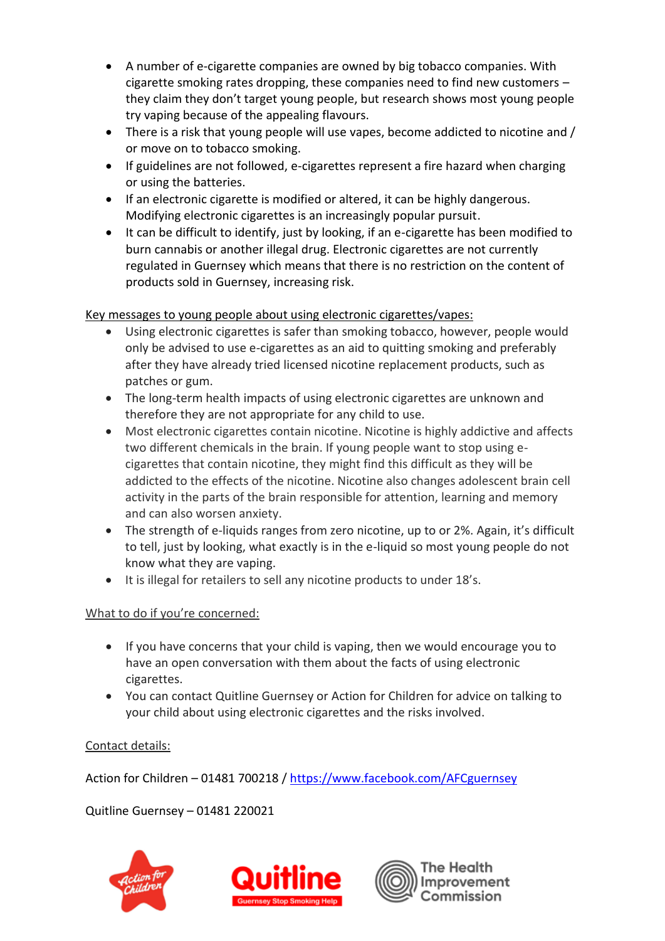- A number of e-cigarette companies are owned by big tobacco companies. With cigarette smoking rates dropping, these companies need to find new customers – they claim they don't target young people, but research shows most young people try vaping because of the appealing flavours.
- There is a risk that young people will use vapes, become addicted to nicotine and / or move on to tobacco smoking.
- If guidelines are not followed, e-cigarettes represent a fire hazard when charging or using the batteries.
- If an electronic cigarette is modified or altered, it can be highly dangerous. Modifying electronic cigarettes is an increasingly popular pursuit.
- It can be difficult to identify, just by looking, if an e-cigarette has been modified to burn cannabis or another illegal drug. Electronic cigarettes are not currently regulated in Guernsey which means that there is no restriction on the content of products sold in Guernsey, increasing risk.

## Key messages to young people about using electronic cigarettes/vapes:

- Using electronic cigarettes is safer than smoking tobacco, however, people would only be advised to use e-cigarettes as an aid to quitting smoking and preferably after they have already tried licensed nicotine replacement products, such as patches or gum.
- The long-term health impacts of using electronic cigarettes are unknown and therefore they are not appropriate for any child to use.
- Most electronic cigarettes contain nicotine. Nicotine is highly addictive and affects two different chemicals in the brain. If young people want to stop using ecigarettes that contain nicotine, they might find this difficult as they will be addicted to the effects of the nicotine. Nicotine also changes adolescent brain cell activity in the parts of the brain responsible for attention, learning and memory and can also worsen anxiety.
- The strength of e-liquids ranges from zero nicotine, up to or 2%. Again, it's difficult to tell, just by looking, what exactly is in the e-liquid so most young people do not know what they are vaping.
- It is illegal for retailers to sell any nicotine products to under 18's.

# What to do if you're concerned:

- If you have concerns that your child is vaping, then we would encourage you to have an open conversation with them about the facts of using electronic cigarettes.
- You can contact Quitline Guernsey or Action for Children for advice on talking to your child about using electronic cigarettes and the risks involved.

## Contact details:

Action for Children – 01481 700218 /<https://www.facebook.com/AFCguernsey>

Quitline Guernsey – 01481 220021